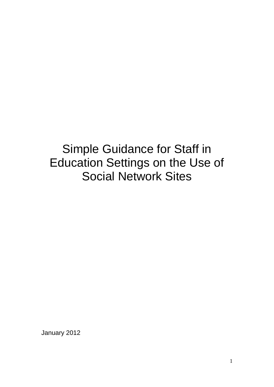# Simple Guidance for Staff in Education Settings on the Use of Social Network Sites

January 2012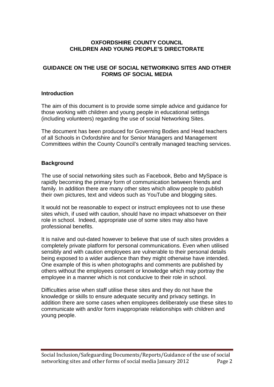# **OXFORDSHIRE COUNTY COUNCIL CHILDREN AND YOUNG PEOPLE'S DIRECTORATE**

# **GUIDANCE ON THE USE OF SOCIAL NETWORKING SITES AND OTHER FORMS OF SOCIAL MEDIA**

#### **Introduction**

The aim of this document is to provide some simple advice and guidance for those working with children and young people in educational settings (including volunteers) regarding the use of social Networking Sites.

The document has been produced for Governing Bodies and Head teachers of all Schools in Oxfordshire and for Senior Managers and Management Committees within the County Council's centrally managed teaching services.

#### **Background**

The use of social networking sites such as Facebook, Bebo and MySpace is rapidly becoming the primary form of communication between friends and family. In addition there are many other sites which allow people to publish their own pictures, text and videos such as YouTube and blogging sites.

It would not be reasonable to expect or instruct employees not to use these sites which, if used with caution, should have no impact whatsoever on their role in school. Indeed, appropriate use of some sites may also have professional benefits.

It is naïve and out-dated however to believe that use of such sites provides a completely private platform for personal communications. Even when utilised sensibly and with caution employees are vulnerable to their personal details being exposed to a wider audience than they might otherwise have intended. One example of this is when photographs and comments are published by others without the employees consent or knowledge which may portray the employee in a manner which is not conducive to their role in school.

Difficulties arise when staff utilise these sites and they do not have the knowledge or skills to ensure adequate security and privacy settings. In addition there are some cases when employees deliberately use these sites to communicate with and/or form inappropriate relationships with children and young people.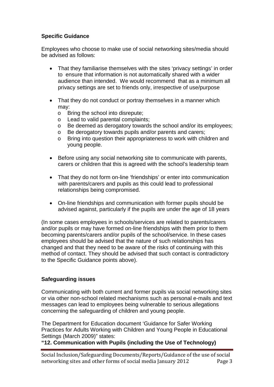# **Specific Guidance**

Employees who choose to make use of social networking sites/media should be advised as follows:

- That they familiarise themselves with the sites 'privacy settings' in order to ensure that information is not automatically shared with a wider audience than intended. We would recommend that as a minimum all privacy settings are set to friends only, irrespective of use/purpose
- That they do not conduct or portray themselves in a manner which may:
	- o Bring the school into disrepute;
	- o Lead to valid parental complaints;
	- o Be deemed as derogatory towards the school and/or its employees;
	- o Be derogatory towards pupils and/or parents and carers;<br>  $\circ$  Bring into question their appropriateness to work with chi
	- Bring into question their appropriateness to work with children and young people.
- Before using any social networking site to communicate with parents, carers or children that this is agreed with the school's leadership team
- That they do not form on-line 'friendships' or enter into communication with parents/carers and pupils as this could lead to professional relationships being compromised.
- On-line friendships and communication with former pupils should be advised against, particularly if the pupils are under the age of 18 years

(In some cases employees in schools/services are related to parents/carers and/or pupils or may have formed on-line friendships with them prior to them becoming parents/carers and/or pupils of the school/service. In these cases employees should be advised that the nature of such relationships has changed and that they need to be aware of the risks of continuing with this method of contact. They should be advised that such contact is contradictory to the Specific Guidance points above).

# **Safeguarding issues**

Communicating with both current and former pupils via social networking sites or via other non-school related mechanisms such as personal e-mails and text messages can lead to employees being vulnerable to serious allegations concerning the safeguarding of children and young people.

The Department for Education document 'Guidance for Safer Working Practices for Adults Working with Children and Young People in Educational Settings (March 2009)" states:

**"12. Communication with Pupils (including the Use of Technology)**

Social Inclusion/Safeguarding Documents/Reports/Guidance of the use of social networking sites and other forms of social media January 2012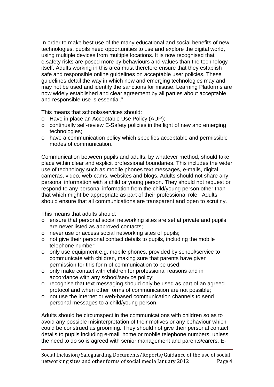In order to make best use of the many educational and social benefits of new technologies, pupils need opportunities to use and explore the digital world, using multiple devices from multiple locations. It is now recognised that e.safety risks are posed more by behaviours and values than the technology itself. Adults working in this area must therefore ensure that they establish safe and responsible online guidelines on acceptable user policies. These guidelines detail the way in which new and emerging technologies may and may not be used and identify the sanctions for misuse. Learning Platforms are now widely established and clear agreement by all parties about acceptable and responsible use is essential."

This means that schools/services should:

- o Have in place an Acceptable Use Policy (AUP);
- o continually self-review E-Safety policies in the light of new and emerging technologies;
- o have a communication policy which specifies acceptable and permissible modes of communication.

Communication between pupils and adults, by whatever method, should take place within clear and explicit professional boundaries. This includes the wider use of technology such as mobile phones text messages, e-mails, digital cameras, video, web-cams, websites and blogs. Adults should not share any personal information with a child or young person. They should not request or respond to any personal information from the child/young person other than that which might be appropriate as part of their professional role. Adults should ensure that all communications are transparent and open to scrutiny.

This means that adults should:

- o ensure that personal social networking sites are set at private and pupils are never listed as approved contacts;
- o never use or access social networking sites of pupils;
- o not give their personal contact details to pupils, including the mobile telephone number;
- o only use equipment e.g. mobile phones, provided by school/service to communicate with children, making sure that parents have given permission for this form of communication to be used;
- o only make contact with children for professional reasons and in accordance with any school/service policy;
- o recognise that text messaging should only be used as part of an agreed protocol and when other forms of communication are not possible;
- o not use the internet or web-based communication channels to send personal messages to a child/young person.

Adults should be circumspect in the communications with children so as to avoid any possible misinterpretation of their motives or any behaviour which could be construed as grooming. They should not give their personal contact details to pupils including e-mail, home or mobile telephone numbers, unless the need to do so is agreed with senior management and parents/carers. E-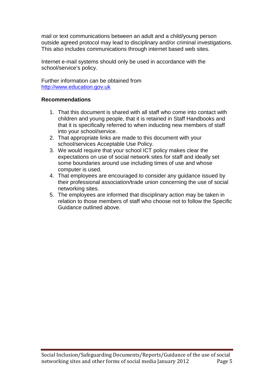mail or text communications between an adult and a child/young person outside agreed protocol may lead to disciplinary and/or criminal investigations. This also includes communications through internet based web sites.

Internet e-mail systems should only be used in accordance with the school/service's policy.

Further information can be obtained from [http://www.education.gov.uk](http://www.education.gov.uk/)

# **Recommendations**

- 1. That this document is shared with all staff who come into contact with children and young people, that it is retained in Staff Handbooks and that it is specifically referred to when inducting new members of staff into your school/service.
- 2. That appropriate links are made to this document with your school/services Acceptable Use Policy.
- 3. We would require that your school ICT policy makes clear the expectations on use of social network sites for staff and ideally set some boundaries around use including times of use and whose computer is used.
- 4. That employees are encouraged to consider any guidance issued by their professional association/trade union concerning the use of social networking sites.
- 5. The employees are informed that disciplinary action may be taken in relation to those members of staff who choose not to follow the Specific Guidance outlined above.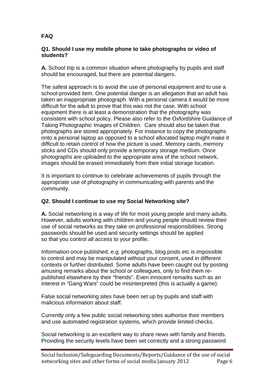# **FAQ**

#### **Q1. Should I use my mobile phone to take photographs or video of students?**

**A***.* School trip is a common situation where photography by pupils and staff should be encouraged, but there are potential dangers.

The safest approach is to avoid the use of personal equipment and to use a school-provided item. One potential danger is an allegation that an adult has taken an inappropriate photograph. With a personal camera it would be more difficult for the adult to prove that this was not the case. With school equipment there is at least a demonstration that the photography was consistent with school policy. Please also refer to the Oxfordshire Guidance of Taking Photographic Images of Children. Care should also be taken that photographs are stored appropriately. For instance to copy the photographs onto a personal laptop as opposed to a school allocated laptop might make it difficult to retain control of how the picture is used. Memory cards, memory sticks and CDs should only provide a temporary storage medium. Once photographs are uploaded to the appropriate area of the school network, images should be erased immediately from their initial storage location.

It is important to continue to celebrate achievements of pupils through the appropriate use of photography in communicating with parents and the community.

# **Q2. Should I continue to use my Social Networking site?**

**A.** Social networking is a way of life for most young people and many adults. However, adults working with children and young people should review their use of social networks as they take on professional responsibilities. Strong passwords should be used and security settings should be applied so that you control all access to your profile.

Information once published, e.g. photographs, blog posts etc is impossible to control and may be manipulated without your consent, used in different contexts or further distributed. Some adults have been caught out by posting amusing remarks about the school or colleagues, only to find them republished elsewhere by their "friends". Even innocent remarks such as an interest in "Gang Wars" could be misinterpreted (this is actually a game).

False social networking sites have been set up by pupils and staff with malicious information about staff.

Currently only a few public social networking sites authorise their members and use automated registration systems, which provide limited checks.

Social networking is an excellent way to share news with family and friends. Providing the security levels have been set correctly and a strong password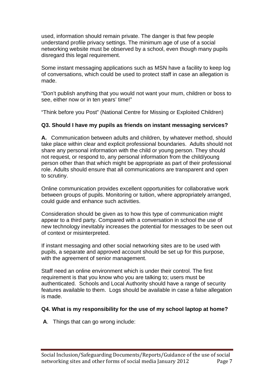used, information should remain private. The danger is that few people understand profile privacy settings. The minimum age of use of a social networking website must be observed by a school, even though many pupils disregard this legal requirement.

Some instant messaging applications such as MSN have a facility to keep log of conversations, which could be used to protect staff in case an allegation is made.

"Don't publish anything that you would not want your mum, children or boss to see, either now or in ten years' time!"

"Think before you Post" (National Centre for Missing or Exploited Children)

# **Q3. Should I have my pupils as friends on instant messaging services?**

**A.** Communication between adults and children, by whatever method, should take place within clear and explicit professional boundaries. Adults should not share any personal information with the child or young person. They should not request, or respond to, any personal information from the child/young person other than that which might be appropriate as part of their professional role. Adults should ensure that all communications are transparent and open to scrutiny.

Online communication provides excellent opportunities for collaborative work between groups of pupils. Monitoring or tuition, where appropriately arranged, could guide and enhance such activities.

Consideration should be given as to how this type of communication might appear to a third party. Compared with a conversation in school the use of new technology inevitably increases the potential for messages to be seen out of context or misinterpreted.

If instant messaging and other social networking sites are to be used with pupils, a separate and approved account should be set up for this purpose, with the agreement of senior management.

Staff need an online environment which is under their control. The first requirement is that you know who you are talking to; users must be authenticated. Schools and Local Authority should have a range of security features available to them. Logs should be available in case a false allegation is made.

#### **Q4. What is my responsibility for the use of my school laptop at home?**

**A**. Things that can go wrong include: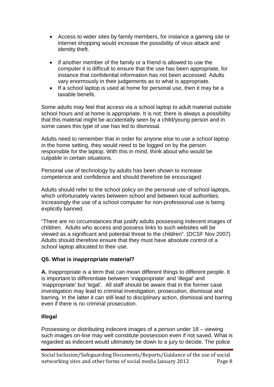- Access to wider sites by family members, for instance a gaming site or internet shopping would increase the possibility of virus attack and identity theft.
- If another member of the family or a friend is allowed to use the computer it is difficult to ensure that the use has been appropriate, for instance that confidential information has not been accessed. Adults vary enormously in their judgements as to what is appropriate.
- If a school laptop is used at home for personal use, then it may be a taxable benefit.

Some adults may feel that access via a school laptop to adult material outside school hours and at home is appropriate. It is not; there is always a possibility that this material might be accidentally seen by a child/young person and in some cases this type of use has led to dismissal.

Adults need to remember that in order for anyone else to use a school laptop in the home setting, they would need to be logged on by the person responsible for the laptop. With this in mind, think about who would be culpable in certain situations.

Personal use of technology by adults has been shown to increase competence and confidence and should therefore be encouraged.

Adults should refer to the school policy on the personal use of school laptops, which unfortunately varies between school and between local authorities. Increasingly the use of a school computer for non-professional use is being explicitly banned.

"There are no circumstances that justify adults possessing indecent images of children. Adults who access and possess links to such websites will be viewed as a significant and potential threat to the children". (DCSF Nov 2007) Adults should therefore ensure that they must have absolute control of a school laptop allocated to their use.

#### **Q5. What is inappropriate material?**

**A***.* Inappropriate is a term that can mean different things to different people. It is important to differentiate between 'inappropriate' and 'illegal' and 'inappropriate' but 'legal'. All staff should be aware that in the former case investigation may lead to criminal investigation, prosecution, dismissal and barring. In the latter it can still lead to disciplinary action, dismissal and barring even if there is no criminal prosecution.

#### **Illegal**

Possessing or distributing indecent images of a person under 18 – viewing such images on-line may well constitute possession even if not saved. What is regarded as indecent would ultimately be down to a jury to decide. The police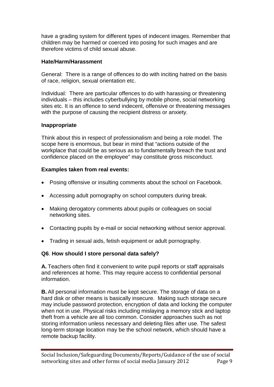have a grading system for different types of indecent images. Remember that children may be harmed or coerced into posing for such images and are therefore victims of child sexual abuse.

#### **Hate/Harm/Harassment**

General: There is a range of offences to do with inciting hatred on the basis of race, religion, sexual orientation etc.

Individual*:* There are particular offences to do with harassing or threatening individuals – this includes cyberbullying by mobile phone, social networking sites etc. It is an offence to send indecent, offensive or threatening messages with the purpose of causing the recipient distress or anxiety.

# **Inappropriate**

Think about this in respect of professionalism and being a role model. The scope here is enormous, but bear in mind that "actions outside of the workplace that could be as serious as to fundamentally breach the trust and confidence placed on the employee" may constitute gross misconduct.

# **Examples taken from real events:**

- Posing offensive or insulting comments about the school on Facebook.
- Accessing adult pornography on school computers during break.
- Making derogatory comments about pupils or colleagues on social networking sites.
- Contacting pupils by e-mail or social networking without senior approval.
- Trading in sexual aids, fetish equipment or adult pornography.

#### **Q6**. **How should I store personal data safely?**

**A.** Teachers often find it convenient to write pupil reports or staff appraisals and references at home. This may require access to confidential personal information.

**B.** All personal information must be kept secure. The storage of data on a hard disk or other means is basically insecure. Making such storage secure may include password protection, encryption of data and locking the computer when not in use. Physical risks including mislaying a memory stick and laptop theft from a vehicle are all too common. Consider approaches such as not storing information unless necessary and deleting files after use. The safest long-term storage location may be the school network, which should have a remote backup facility.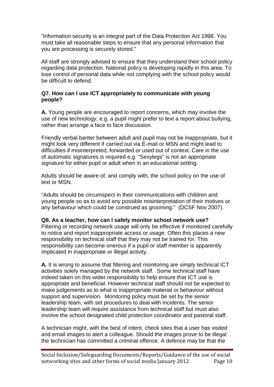"Information security is an integral part of the Data Protection Act 1998. You must take all reasonable steps to ensure that any personal information that you are processing is securely stored."

All staff are strongly advised to ensure that they understand their school policy regarding data protection. National policy is developing rapidly in this area. To lose control of personal data while not complying with the school policy would be difficult to defend.

# **Q7. How can I use ICT appropriately to communicate with young people?**

**A***.* Young people are encouraged to report concerns, which may involve the use of new technology, e.g. a pupil might prefer to text a report about bullying, rather than arrange a face to face discussion.

Friendly verbal banter between adult and pupil may not be inappropriate, but it might look very different if carried out via E-mail or MSN and might lead to difficulties if misinterpreted, forwarded or used out of context. Care in the use of automatic signatures is required e.g. "Sexylegs" is not an appropriate signature for either pupil or adult when in an educational setting.

Adults should be aware of, and comply with, the school policy on the use of text or MSN.

"Adults should be circumspect in their communications with children and young people so as to avoid any possible misinterpretation of their motives or any behaviour which could be construed as grooming." (DCSF Nov 2007).

#### **Q8. As a teacher, how can I safely monitor school network use?**

Filtering or recording network usage will only be effective if monitored carefully to notice and report inappropriate access or usage. Often this places a new responsibility on technical staff that they may not be trained for. This responsibility can become onerous if a pupil or staff member is apparently implicated in inappropriate or illegal activity.

**A***.* It is wrong to assume that filtering and monitoring are simply technical ICT activities solely managed by the network staff. Some technical staff have indeed taken on this wider responsibility to help ensure that ICT use is appropriate and beneficial. However technical staff should not be expected to make judgements as to what is inappropriate material or behaviour without support and supervision. Monitoring policy must be set by the senior leadership team, with set procedures to deal with incidents. The senior leadership team will require assistance from technical staff but must also involve the school designated child protection coordinator and pastoral staff.

A technician might, with the best of intent, check sites that a user has visited and email images to alert a colleague. Should the images prove to be illegal the technician has committed a criminal offence. A defence may be that the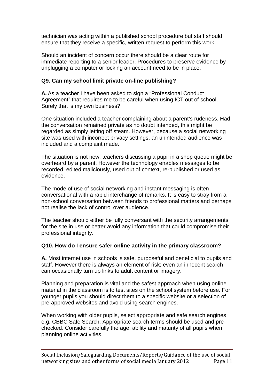technician was acting within a published school procedure but staff should ensure that they receive a specific, written request to perform this work.

Should an incident of concern occur there should be a clear route for immediate reporting to a senior leader. Procedures to preserve evidence by unplugging a computer or locking an account need to be in place.

# **Q9. Can my school limit private on-line publishing?**

**A.** As a teacher I have been asked to sign a "Professional Conduct Agreement" that requires me to be careful when using ICT out of school. Surely that is my own business?

One situation included a teacher complaining about a parent's rudeness. Had the conversation remained private as no doubt intended, this might be regarded as simply letting off steam. However, because a social networking site was used with incorrect privacy settings, an unintended audience was included and a complaint made.

The situation is not new; teachers discussing a pupil in a shop queue might be overheard by a parent. However the technology enables messages to be recorded, edited maliciously, used out of context, re-published or used as evidence.

The mode of use of social networking and instant messaging is often conversational with a rapid interchange of remarks. It is easy to stray from a non-school conversation between friends to professional matters and perhaps not realise the lack of control over audience.

The teacher should either be fully conversant with the security arrangements for the site in use or better avoid any information that could compromise their professional integrity.

# **Q10. How do I ensure safer online activity in the primary classroom?**

**A.** Most internet use in schools is safe, purposeful and beneficial to pupils and staff. However there is always an element of risk; even an innocent search can occasionally turn up links to adult content or imagery.

Planning and preparation is vital and the safest approach when using online material in the classroom is to test sites on the school system before use. For younger pupils you should direct them to a specific website or a selection of pre-approved websites and avoid using search engines.

When working with older pupils, select appropriate and safe search engines e.g. CBBC Safe Search. Appropriate search terms should be used and prechecked. Consider carefully the age, ability and maturity of all pupils when planning online activities.